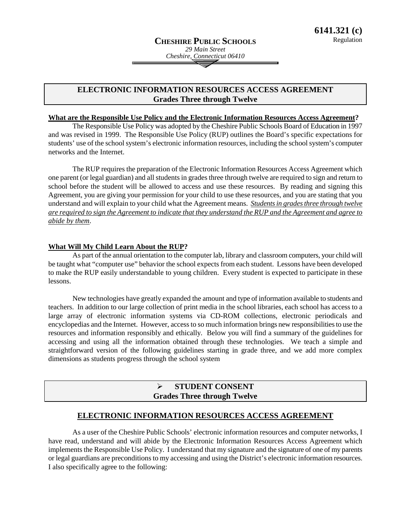# **ELECTRONIC INFORMATION RESOURCES ACCESS AGREEMENT Grades Three through Twelve**

#### **What are the Responsible Use Policy and the Electronic Information Resources Access Agreement ?**

The Responsible Use Policy was adopted by the Cheshire Public Schools Board of Education in 1997 and was revised in 1999. The Responsible Use Policy (RUP) outlines the Board's specific expectations for students' use of the school system's electronic information resources, including the school system's computer networks and the Internet.

The RUP requires the preparation of the Electronic Information Resources Access Agreement which one parent (or legal guardian) and all students in grades three through twelve are required to sign and return to school before the student will be allowed to access and use these resources. By reading and signing this Agreement, you are giving your permission for your child to use these resources, and you are stating that you understand and will explain to your child what the Agreement means. *Students in grades three through twelve are required to sign the Agreement to indicate that they understand the RUP and the Agreement and agree to abide by them*.

#### **What Will My Child Learn About the RUP ?**

As part of the annual orientation to the computer lab, library and classroom computers, your child will be taught what "computer use" behavior the school expects from each student. Lessons have been developed to make the RUP easily understandable to young children. Every student is expected to participate in these lessons.

New technologies have greatly expanded the amount and type of information available to students and teachers. In addition to our large collection of print media in the school libraries, each school has access to a large array of electronic information systems via CD-ROM collections, electronic periodicals and encyclopedias and the Internet. However, access to so much information brings new responsibilities to use the resources and information responsibly and ethically. Below you will find a summary of the guidelines for accessing and using all the information obtained through these technologies. We teach a simple and straightforward version of the following guidelines starting in grade three, and we add more complex dimensions as students progress through the school system

# **STUDENT CONSENT Grades Three through Twelve**

#### **ELECTRONIC INFORMATION RESOURCES ACCESS AGREEMENT**

As a user of the Cheshire Public Schools' electronic information resources and computer networks, I have read, understand and will abide by the Electronic Information Resources Access Agreement which implements the Responsible Use Policy. I understand that my signature and the signature of one of my parents or legal guardians are preconditions to my accessing and using the District's electronic information resources. I also specifically agree to the following: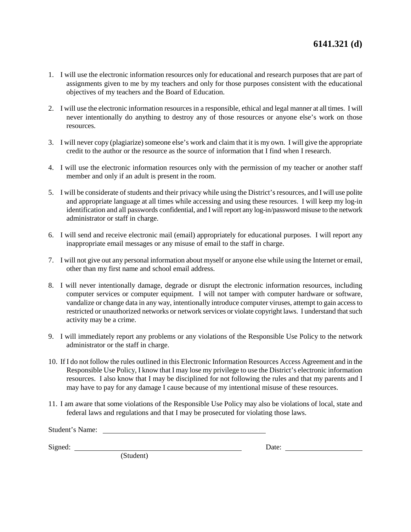- 1. I will use the electronic information resources only for educational and research purposes that are part of assignments given to me by my teachers and only for those purposes consistent with the educational objectives of my teachers and the Board of Education.
- 2. I will use the electronic information resources in a responsible, ethical and legal manner at all times. I will never intentionally do anything to destroy any of those resources or anyone else's work on those resources.
- 3. I will never copy (plagiarize) someone else's work and claim that it is my own. I will give the appropriate credit to the author or the resource as the source of information that I find when I research.
- 4. I will use the electronic information resources only with the permission of my teacher or another staff member and only if an adult is present in the room.
- 5. I will be considerate of students and their privacy while using the District's resources, and I will use polite and appropriate language at all times while accessing and using these resources. I will keep my log-in identification and all passwords confidential, and I will report any log-in/password misuse to the network administrator or staff in charge.
- 6. I will send and receive electronic mail (email) appropriately for educational purposes. I will report any inappropriate email messages or any misuse of email to the staff in charge.
- 7. I will not give out any personal information about myself or anyone else while using the Internet or email, other than my first name and school email address.
- 8. I will never intentionally damage, degrade or disrupt the electronic information resources, including computer services or computer equipment. I will not tamper with computer hardware or software, vandalize or change data in any way, intentionally introduce computer viruses, attempt to gain access to restricted or unauthorized networks or network services or violate copyright laws. I understand that such activity may be a crime.
- 9. I will immediately report any problems or any violations of the Responsible Use Policy to the network administrator or the staff in charge.
- 10. If I do not follow the rules outlined in this Electronic Information Resources Access Agreement and in the Responsible Use Policy, I know that I may lose my privilege to use the District's electronic information resources. I also know that I may be disciplined for not following the rules and that my parents and I may have to pay for any damage I cause because of my intentional misuse of these resources.
- 11. I am aware that some violations of the Responsible Use Policy may also be violations of local, state and federal laws and regulations and that I may be prosecuted for violating those laws.

| Student's Name: |       |
|-----------------|-------|
|                 |       |
| Signed:         | Date: |

(Student)